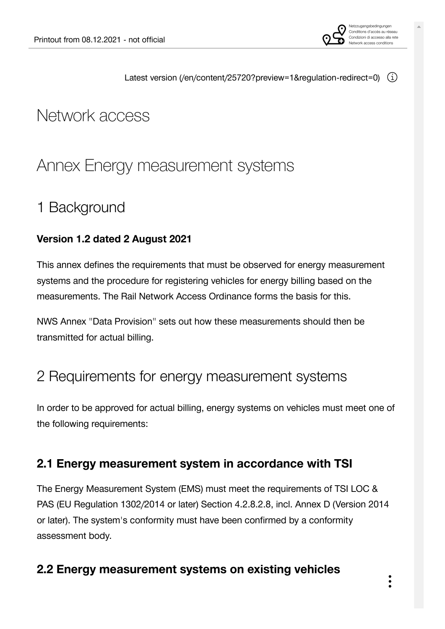

Latest version [\(/en/content/25720?preview=1&regulation-redirect=0\)](https://vorgaben.sbb.ch/en/content/25720?preview=1®ulation-redirect=0)  $(i)$ 

# Network access

## [Annex Energy measurement systems](https://vorgaben.sbb.ch/en/content/25720?regulation-redirect=0&jump-to=25720)

## 1 [Background](https://vorgaben.sbb.ch/en/content/25720?regulation-redirect=0&jump-to=25747)

### **Version 1.2 dated 2 August 2021**

This annex defines the requirements that must be observed for energy measurement systems and the procedure for registering vehicles for energy billing based on the measurements. The Rail Network Access Ordinance forms the basis for this.

NWS Annex "Data Provision" sets out how these measurements should then be transmitted for actual billing.

## 2 [Requirements for energy measurement systems](https://vorgaben.sbb.ch/en/content/25720?regulation-redirect=0&jump-to=25749)

In order to be approved for actual billing, energy systems on vehicles must meet one of the following requirements:

### **2.1 [Energy measurement system in accordance with TSI](https://vorgaben.sbb.ch/en/content/25720?regulation-redirect=0&jump-to=25790)**

The Energy Measurement System (EMS) must meet the requirements of TSI LOC & PAS (EU Regulation 1302/2014 or later) Section 4.2.8.2.8, incl. Annex D (Version 2014 or later). The system's conformity must have been confirmed by a conformity assessment body.

### **2.2 [Energy measurement systems on existing vehicles](https://vorgaben.sbb.ch/en/content/25720?regulation-redirect=0&jump-to=25791)**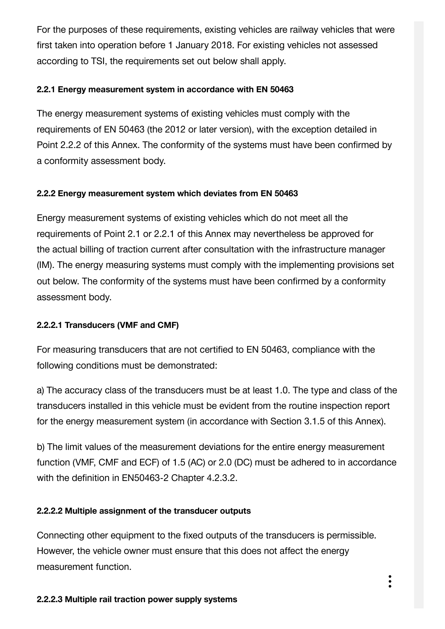For the purposes of these requirements, existing vehicles are railway vehicles that were first taken into operation before 1 January 2018. For existing vehicles not assessed according to TSI, the requirements set out below shall apply.

#### **2.2.1 [Energy measurement system in accordance with EN 50463](https://vorgaben.sbb.ch/en/content/25720?regulation-redirect=0&jump-to=25792)**

The energy measurement systems of existing vehicles must comply with the requirements of EN 50463 (the 2012 or later version), with the exception detailed in Point 2.2.2 of this Annex. The conformity of the systems must have been confirmed by a conformity assessment body.

### **2.2.2 [Energy measurement system which deviates from EN 50463](https://vorgaben.sbb.ch/en/content/25720?regulation-redirect=0&jump-to=25793)**

Energy measurement systems of existing vehicles which do not meet all the requirements of Point 2.1 or 2.2.1 of this Annex may nevertheless be approved for the actual billing of traction current after consultation with the infrastructure manager (IM). The energy measuring systems must comply with the implementing provisions set out below. The conformity of the systems must have been confirmed by a conformity assessment body.

### **2.2.2.1 [Transducers \(VMF and CMF\)](https://vorgaben.sbb.ch/en/content/25720?regulation-redirect=0&jump-to=25794)**

For measuring transducers that are not certified to EN 50463, compliance with the following conditions must be demonstrated:

a) The accuracy class of the transducers must be at least 1.0. The type and class of the transducers installed in this vehicle must be evident from the routine inspection report for the energy measurement system (in accordance with Section 3.1.5 of this Annex).

b) The limit values of the measurement deviations for the entire energy measurement function (VMF, CMF and ECF) of 1.5 (AC) or 2.0 (DC) must be adhered to in accordance with the definition in EN50463-2 Chapter 4.2.3.2.

#### **2.2.2.2 [Multiple assignment of the transducer outputs](https://vorgaben.sbb.ch/en/content/25720?regulation-redirect=0&jump-to=25795)**

Connecting other equipment to the fixed outputs of the transducers is permissible. However, the vehicle owner must ensure that this does not affect the energy measurement function.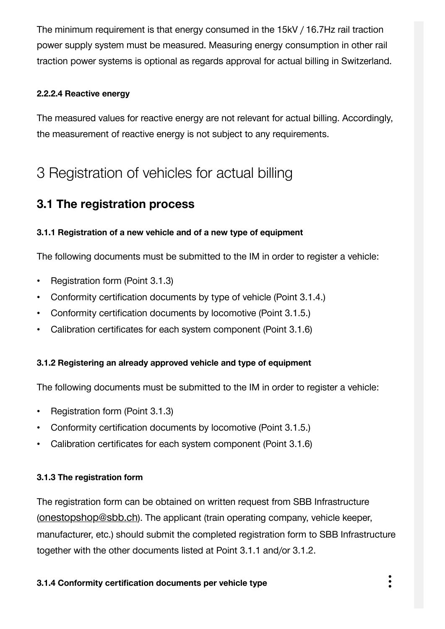The minimum requirement is that energy consumed in the 15kV / 16.7Hz rail traction power supply system must be measured. Measuring energy consumption in other rail traction power systems is optional as regards approval for actual billing in Switzerland.

### **2.2.2.4 [Reactive energy](https://vorgaben.sbb.ch/en/content/25720?regulation-redirect=0&jump-to=25797)**

The measured values for reactive energy are not relevant for actual billing. Accordingly, the measurement of reactive energy is not subject to any requirements.

## 3 [Registration of vehicles for actual billing](https://vorgaben.sbb.ch/en/content/25720?regulation-redirect=0&jump-to=25789)

### **3.1 [The registration process](https://vorgaben.sbb.ch/en/content/25720?regulation-redirect=0&jump-to=25798)**

### **3.1.1 [Registration of a new vehicle and of a new type of equipment](https://vorgaben.sbb.ch/en/content/25720?regulation-redirect=0&jump-to=25799)**

The following documents must be submitted to the IM in order to register a vehicle:

- Registration form (Point 3.1.3)
- Conformity certification documents by type of vehicle (Point 3.1.4.)
- Conformity certification documents by locomotive (Point 3.1.5.)
- Calibration certificates for each system component (Point 3.1.6)

### **3.1.2 [Registering an already approved vehicle and type of equipment](https://vorgaben.sbb.ch/en/content/25720?regulation-redirect=0&jump-to=25800)**

The following documents must be submitted to the IM in order to register a vehicle:

- Registration form (Point 3.1.3)
- Conformity certification documents by locomotive (Point 3.1.5.)
- Calibration certificates for each system component (Point 3.1.6)

#### **3.1.3 [The registration form](https://vorgaben.sbb.ch/en/content/25720?regulation-redirect=0&jump-to=25801)**

The registration form can be obtained on written request from SBB Infrastructure ([onestopshop@sbb.ch](javascript:linkDecryptEmail()). The applicant (train operating company, vehicle keeper, manufacturer, etc.) should submit the completed registration form to SBB Infrastructure together with the other documents listed at Point 3.1.1 and/or 3.1.2.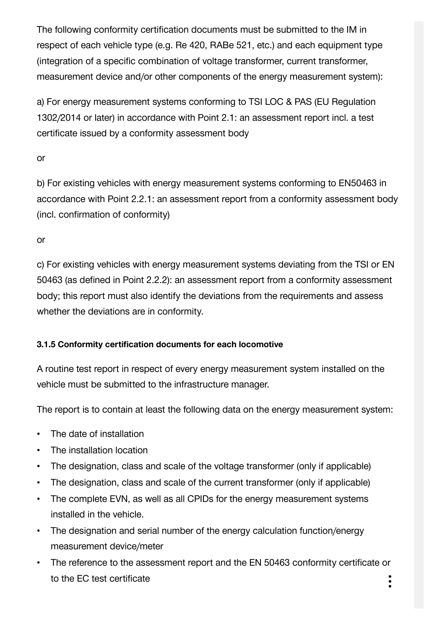The following conformity certification documents must be submitted to the IM in respect of each vehicle type (e.g. Re 420, RABe 521, etc.) and each equipment type (integration of a specific combination of voltage transformer, current transformer, measurement device and/or other components of the energy measurement system):

a) For energy measurement systems conforming to TSI LOC & PAS (EU Regulation 1302/2014 or later) in accordance with Point 2.1: an assessment report incl. a test certificate issued by a conformity assessment body

or

b) For existing vehicles with energy measurement systems conforming to EN50463 in accordance with Point 2.2.1: an assessment report from a conformity assessment body (incl. confirmation of conformity)

or

c) For existing vehicles with energy measurement systems deviating from the TSI or EN 50463 (as defined in Point 2.2.2): an assessment report from a conformity assessment body; this report must also identify the deviations from the requirements and assess whether the deviations are in conformity.

### **3.1.5 [Conformity certification documents for each locomotive](https://vorgaben.sbb.ch/en/content/25720?regulation-redirect=0&jump-to=25803)**

A routine test report in respect of every energy measurement system installed on the vehicle must be submitted to the infrastructure manager.

The report is to contain at least the following data on the energy measurement system:

- The date of installation
- The installation location
- The designation, class and scale of the voltage transformer (only if applicable)
- The designation, class and scale of the current transformer (only if applicable)
- The complete EVN, as well as all CPIDs for the energy measurement systems installed in the vehicle.
- The designation and serial number of the energy calculation function/energy measurement device/meter
- The reference to the assessment report and the EN 50463 conformity certificate or to the EC test certificate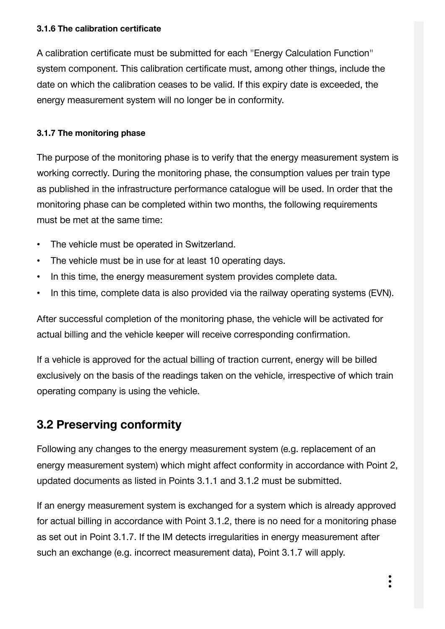#### **3.1.6 [The calibration certificate](https://vorgaben.sbb.ch/en/content/25720?regulation-redirect=0&jump-to=25804)**

A calibration certificate must be submitted for each "Energy Calculation Function" system component. This calibration certificate must, among other things, include the date on which the calibration ceases to be valid. If this expiry date is exceeded, the energy measurement system will no longer be in conformity.

### **3.1.7 [The monitoring phase](https://vorgaben.sbb.ch/en/content/25720?regulation-redirect=0&jump-to=25805)**

The purpose of the monitoring phase is to verify that the energy measurement system is working correctly. During the monitoring phase, the consumption values per train type as published in the infrastructure performance catalogue will be used. In order that the monitoring phase can be completed within two months, the following requirements must be met at the same time:

- The vehicle must be operated in Switzerland.
- The vehicle must be in use for at least 10 operating days.
- In this time, the energy measurement system provides complete data.
- In this time, complete data is also provided via the railway operating systems (EVN).

After successful completion of the monitoring phase, the vehicle will be activated for actual billing and the vehicle keeper will receive corresponding confirmation.

If a vehicle is approved for the actual billing of traction current, energy will be billed exclusively on the basis of the readings taken on the vehicle, irrespective of which train operating company is using the vehicle.

### **3.2 [Preserving conformity](https://vorgaben.sbb.ch/en/content/25720?regulation-redirect=0&jump-to=25806)**

Following any changes to the energy measurement system (e.g. replacement of an energy measurement system) which might affect conformity in accordance with Point 2, updated documents as listed in Points 3.1.1 and 3.1.2 must be submitted.

If an energy measurement system is exchanged for a system which is already approved for actual billing in accordance with Point 3.1.2, there is no need for a monitoring phase as set out in Point 3.1.7. If the IM detects irregularities in energy measurement after such an exchange (e.g. incorrect measurement data), Point 3.1.7 will apply.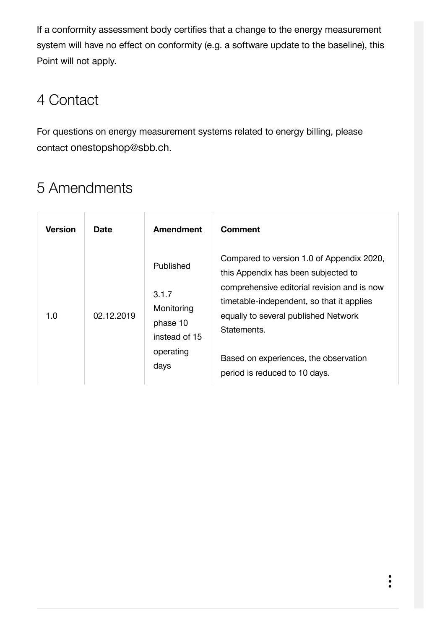If a conformity assessment body certifies that a change to the energy measurement system will have no effect on conformity (e.g. a software update to the baseline), this Point will not apply.

## 4 [Contact](https://vorgaben.sbb.ch/en/content/25720?regulation-redirect=0&jump-to=25807)

For questions on energy measurement systems related to energy billing, please contact [onestopshop@sbb.ch](javascript:linkDecryptEmail().

# 5 [Amendments](https://vorgaben.sbb.ch/en/content/25720?regulation-redirect=0&jump-to=25808)

| <b>Version</b> | Date       | <b>Amendment</b>                                                                   | Comment                                                                                                                                                                                                                                                                                                       |
|----------------|------------|------------------------------------------------------------------------------------|---------------------------------------------------------------------------------------------------------------------------------------------------------------------------------------------------------------------------------------------------------------------------------------------------------------|
| 1.0            | 02.12.2019 | Published<br>3.1.7<br>Monitoring<br>phase 10<br>instead of 15<br>operating<br>days | Compared to version 1.0 of Appendix 2020,<br>this Appendix has been subjected to<br>comprehensive editorial revision and is now<br>timetable-independent, so that it applies<br>equally to several published Network<br>Statements.<br>Based on experiences, the observation<br>period is reduced to 10 days. |